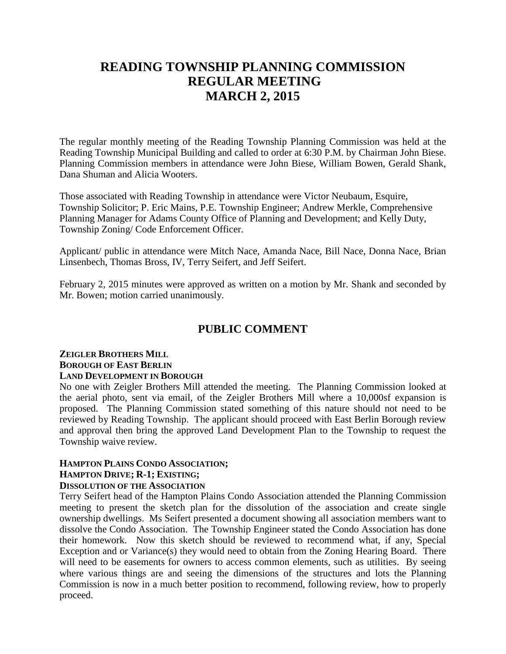# **READING TOWNSHIP PLANNING COMMISSION REGULAR MEETING MARCH 2, 2015**

The regular monthly meeting of the Reading Township Planning Commission was held at the Reading Township Municipal Building and called to order at 6:30 P.M. by Chairman John Biese. Planning Commission members in attendance were John Biese, William Bowen, Gerald Shank, Dana Shuman and Alicia Wooters.

Those associated with Reading Township in attendance were Victor Neubaum, Esquire, Township Solicitor; P. Eric Mains, P.E. Township Engineer; Andrew Merkle, Comprehensive Planning Manager for Adams County Office of Planning and Development; and Kelly Duty, Township Zoning/ Code Enforcement Officer.

Applicant/ public in attendance were Mitch Nace, Amanda Nace, Bill Nace, Donna Nace, Brian Linsenbech, Thomas Bross, IV, Terry Seifert, and Jeff Seifert.

February 2, 2015 minutes were approved as written on a motion by Mr. Shank and seconded by Mr. Bowen; motion carried unanimously.

### **PUBLIC COMMENT**

#### **ZEIGLER BROTHERS MILL BOROUGH OF EAST BERLIN LAND DEVELOPMENT IN BOROUGH**

No one with Zeigler Brothers Mill attended the meeting. The Planning Commission looked at the aerial photo, sent via email, of the Zeigler Brothers Mill where a 10,000sf expansion is proposed. The Planning Commission stated something of this nature should not need to be reviewed by Reading Township. The applicant should proceed with East Berlin Borough review and approval then bring the approved Land Development Plan to the Township to request the Township waive review.

# **HAMPTON PLAINS CONDO ASSOCIATION;**

## **HAMPTON DRIVE; R-1; EXISTING;**

### **DISSOLUTION OF THE ASSOCIATION**

Terry Seifert head of the Hampton Plains Condo Association attended the Planning Commission meeting to present the sketch plan for the dissolution of the association and create single ownership dwellings. Ms Seifert presented a document showing all association members want to dissolve the Condo Association. The Township Engineer stated the Condo Association has done their homework. Now this sketch should be reviewed to recommend what, if any, Special Exception and or Variance(s) they would need to obtain from the Zoning Hearing Board. There will need to be easements for owners to access common elements, such as utilities. By seeing where various things are and seeing the dimensions of the structures and lots the Planning Commission is now in a much better position to recommend, following review, how to properly proceed.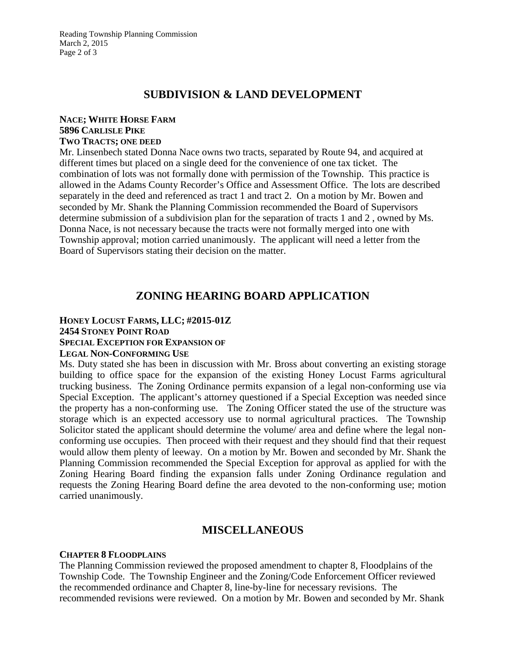### **SUBDIVISION & LAND DEVELOPMENT**

#### **NACE; WHITE HORSE FARM 5896 CARLISLE PIKE TWO TRACTS; ONE DEED**

Mr. Linsenbech stated Donna Nace owns two tracts, separated by Route 94, and acquired at different times but placed on a single deed for the convenience of one tax ticket. The combination of lots was not formally done with permission of the Township. This practice is allowed in the Adams County Recorder's Office and Assessment Office. The lots are described separately in the deed and referenced as tract 1 and tract 2. On a motion by Mr. Bowen and seconded by Mr. Shank the Planning Commission recommended the Board of Supervisors determine submission of a subdivision plan for the separation of tracts 1 and 2 , owned by Ms. Donna Nace, is not necessary because the tracts were not formally merged into one with Township approval; motion carried unanimously. The applicant will need a letter from the Board of Supervisors stating their decision on the matter.

## **ZONING HEARING BOARD APPLICATION**

### **HONEY LOCUST FARMS, LLC; #2015-01Z 2454 STONEY POINT ROAD SPECIAL EXCEPTION FOR EXPANSION OF LEGAL NON-CONFORMING USE**

Ms. Duty stated she has been in discussion with Mr. Bross about converting an existing storage building to office space for the expansion of the existing Honey Locust Farms agricultural trucking business. The Zoning Ordinance permits expansion of a legal non-conforming use via Special Exception. The applicant's attorney questioned if a Special Exception was needed since the property has a non-conforming use. The Zoning Officer stated the use of the structure was storage which is an expected accessory use to normal agricultural practices. The Township Solicitor stated the applicant should determine the volume/ area and define where the legal nonconforming use occupies. Then proceed with their request and they should find that their request would allow them plenty of leeway. On a motion by Mr. Bowen and seconded by Mr. Shank the Planning Commission recommended the Special Exception for approval as applied for with the Zoning Hearing Board finding the expansion falls under Zoning Ordinance regulation and requests the Zoning Hearing Board define the area devoted to the non-conforming use; motion carried unanimously.

### **MISCELLANEOUS**

### **CHAPTER 8 FLOODPLAINS**

The Planning Commission reviewed the proposed amendment to chapter 8, Floodplains of the Township Code. The Township Engineer and the Zoning/Code Enforcement Officer reviewed the recommended ordinance and Chapter 8, line-by-line for necessary revisions. The recommended revisions were reviewed. On a motion by Mr. Bowen and seconded by Mr. Shank